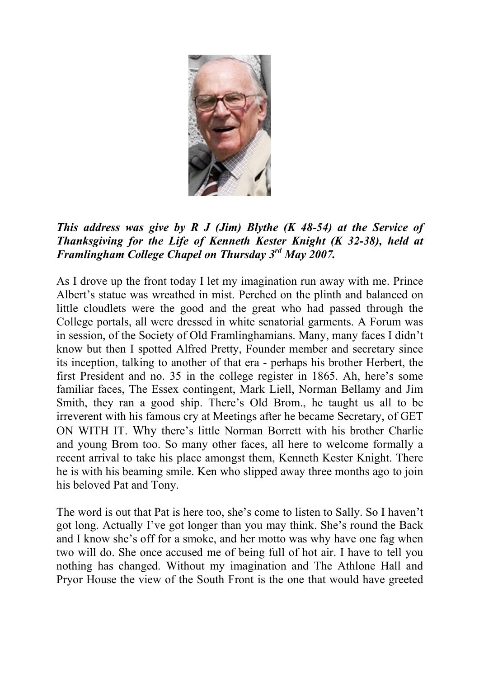

This address was give by R J (Jim) Blythe  $(K 48-54)$  at the Service of Thanksgiving for the Life of Kenneth Kester Knight (K 32-38), held at Framlingham College Chapel on Thursday 3rd May 2007.

As I drove up the front today I let my imagination run away with me. Prince Albert's statue was wreathed in mist. Perched on the plinth and balanced on little cloudlets were the good and the great who had passed through the College portals, all were dressed in white senatorial garments. A Forum was in session, of the Society of Old Framlinghamians. Many, many faces I didn't know but then I spotted Alfred Pretty, Founder member and secretary since its inception, talking to another of that era - perhaps his brother Herbert, the first President and no. 35 in the college register in 1865. Ah, here's some familiar faces, The Essex contingent, Mark Liell, Norman Bellamy and Jim Smith, they ran a good ship. There's Old Brom., he taught us all to be irreverent with his famous cry at Meetings after he became Secretary, of GET ON WITH IT. Why there's little Norman Borrett with his brother Charlie and young Brom too. So many other faces, all here to welcome formally a recent arrival to take his place amongst them, Kenneth Kester Knight. There he is with his beaming smile. Ken who slipped away three months ago to join his beloved Pat and Tony.

The word is out that Pat is here too, she's come to listen to Sally. So I haven't got long. Actually I've got longer than you may think. She's round the Back and I know she's off for a smoke, and her motto was why have one fag when two will do. She once accused me of being full of hot air. I have to tell you nothing has changed. Without my imagination and The Athlone Hall and Pryor House the view of the South Front is the one that would have greeted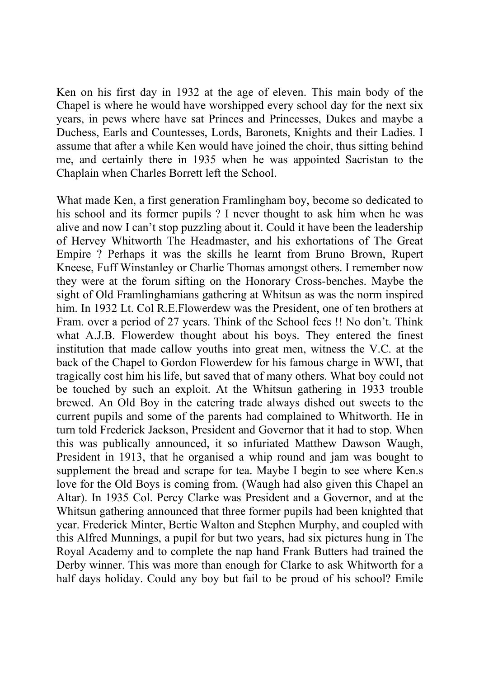Ken on his first day in 1932 at the age of eleven. This main body of the Chapel is where he would have worshipped every school day for the next six years, in pews where have sat Princes and Princesses, Dukes and maybe a Duchess, Earls and Countesses, Lords, Baronets, Knights and their Ladies. I assume that after a while Ken would have joined the choir, thus sitting behind me, and certainly there in 1935 when he was appointed Sacristan to the Chaplain when Charles Borrett left the School.

What made Ken, a first generation Framlingham boy, become so dedicated to his school and its former pupils ? I never thought to ask him when he was alive and now I can't stop puzzling about it. Could it have been the leadership of Hervey Whitworth The Headmaster, and his exhortations of The Great Empire ? Perhaps it was the skills he learnt from Bruno Brown, Rupert Kneese, Fuff Winstanley or Charlie Thomas amongst others. I remember now they were at the forum sifting on the Honorary Cross-benches. Maybe the sight of Old Framlinghamians gathering at Whitsun as was the norm inspired him. In 1932 Lt. Col R.E.Flowerdew was the President, one of ten brothers at Fram. over a period of 27 years. Think of the School fees !! No don't. Think what A.J.B. Flowerdew thought about his boys. They entered the finest institution that made callow youths into great men, witness the V.C. at the back of the Chapel to Gordon Flowerdew for his famous charge in WWI, that tragically cost him his life, but saved that of many others. What boy could not be touched by such an exploit. At the Whitsun gathering in 1933 trouble brewed. An Old Boy in the catering trade always dished out sweets to the current pupils and some of the parents had complained to Whitworth. He in turn told Frederick Jackson, President and Governor that it had to stop. When this was publically announced, it so infuriated Matthew Dawson Waugh, President in 1913, that he organised a whip round and jam was bought to supplement the bread and scrape for tea. Maybe I begin to see where Ken.s love for the Old Boys is coming from. (Waugh had also given this Chapel an Altar). In 1935 Col. Percy Clarke was President and a Governor, and at the Whitsun gathering announced that three former pupils had been knighted that year. Frederick Minter, Bertie Walton and Stephen Murphy, and coupled with this Alfred Munnings, a pupil for but two years, had six pictures hung in The Royal Academy and to complete the nap hand Frank Butters had trained the Derby winner. This was more than enough for Clarke to ask Whitworth for a half days holiday. Could any boy but fail to be proud of his school? Emile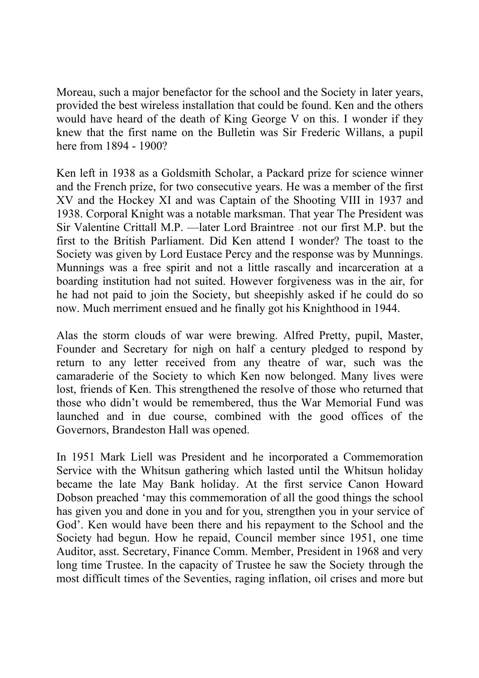Moreau, such a major benefactor for the school and the Society in later years, provided the best wireless installation that could be found. Ken and the others would have heard of the death of King George V on this. I wonder if they knew that the first name on the Bulletin was Sir Frederic Willans, a pupil here from 1894 - 1900?

Ken left in 1938 as a Goldsmith Scholar, a Packard prize for science winner and the French prize, for two consecutive years. He was a member of the first XV and the Hockey XI and was Captain of the Shooting VIII in 1937 and 1938. Corporal Knight was a notable marksman. That year The President was Sir Valentine Crittall M.P. —later Lord Braintree — not our first M.P. but the first to the British Parliament. Did Ken attend I wonder? The toast to the Society was given by Lord Eustace Percy and the response was by Munnings. Munnings was a free spirit and not a little rascally and incarceration at a boarding institution had not suited. However forgiveness was in the air, for he had not paid to join the Society, but sheepishly asked if he could do so now. Much merriment ensued and he finally got his Knighthood in 1944.

Alas the storm clouds of war were brewing. Alfred Pretty, pupil, Master, Founder and Secretary for nigh on half a century pledged to respond by return to any letter received from any theatre of war, such was the camaraderie of the Society to which Ken now belonged. Many lives were lost, friends of Ken. This strengthened the resolve of those who returned that those who didn't would be remembered, thus the War Memorial Fund was launched and in due course, combined with the good offices of the Governors, Brandeston Hall was opened.

In 1951 Mark Liell was President and he incorporated a Commemoration Service with the Whitsun gathering which lasted until the Whitsun holiday became the late May Bank holiday. At the first service Canon Howard Dobson preached 'may this commemoration of all the good things the school has given you and done in you and for you, strengthen you in your service of God'. Ken would have been there and his repayment to the School and the Society had begun. How he repaid, Council member since 1951, one time Auditor, asst. Secretary, Finance Comm. Member, President in 1968 and very long time Trustee. In the capacity of Trustee he saw the Society through the most difficult times of the Seventies, raging inflation, oil crises and more but